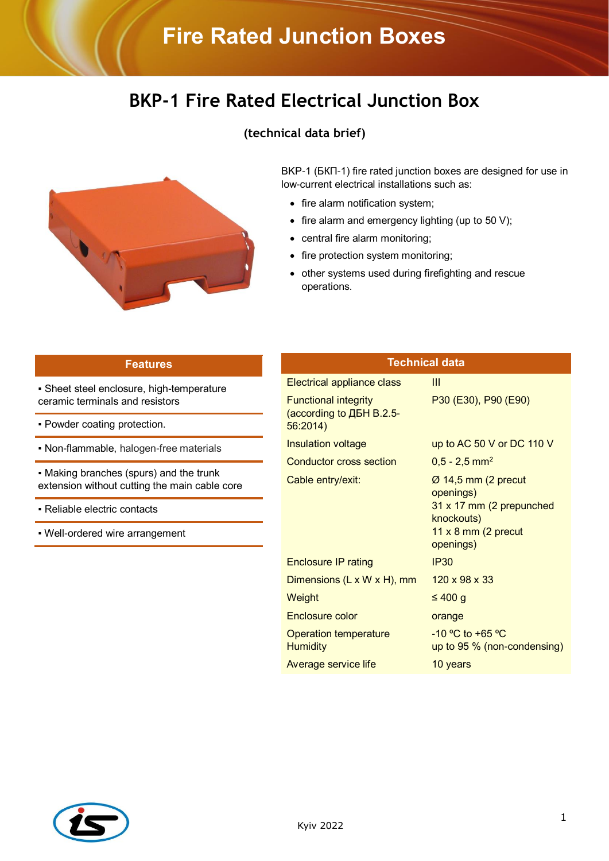## **Fire Rated Junction Boxes**

## **BKP-1 Fire Rated Electrical Junction Box**





BKP-1 (БКП-1) fire rated junction boxes are designed for use in low-current electrical installations such as:

- fire alarm notification system;
- $\bullet$  fire alarm and emergency lighting (up to 50 V);
- central fire alarm monitoring;
- fire protection system monitoring;
- other systems used during firefighting and rescue operations.

| <b>Features</b>                                                              | <b>Technical data</b>                                   |                                                                            |
|------------------------------------------------------------------------------|---------------------------------------------------------|----------------------------------------------------------------------------|
| • Sheet steel enclosure, high-temperature<br>ceramic terminals and resistors | Electrical appliance class                              | Ш                                                                          |
|                                                                              | <b>Functional integrity</b><br>(according to ДБН В.2.5- | P30 (E30), P90 (E90)                                                       |
| - Powder coating protection.                                                 | 56:2014                                                 |                                                                            |
| • Non-flammable, halogen-free materials                                      | <b>Insulation voltage</b>                               | up to AC 50 V or DC 110 V                                                  |
| - Making branches (spurs) and the trunk                                      | <b>Conductor cross section</b><br>Cable entry/exit:     | $0,5 - 2,5$ mm <sup>2</sup>                                                |
| extension without cutting the main cable core                                |                                                         | Ø 14,5 mm (2 precut<br>openings)<br>31 x 17 mm (2 prepunched<br>knockouts) |
| - Reliable electric contacts                                                 |                                                         |                                                                            |
| • Well-ordered wire arrangement                                              |                                                         | 11 $x$ 8 mm (2 precut<br>openings)                                         |
|                                                                              | <b>Enclosure IP rating</b>                              | <b>IP30</b>                                                                |
|                                                                              | Dimensions $(L \times W \times H)$ , mm                 | $120 \times 98 \times 33$                                                  |
|                                                                              | Weight                                                  | $\leq 400$ g                                                               |
|                                                                              | Enclosure color                                         | orange                                                                     |
|                                                                              | <b>Operation temperature</b><br><b>Humidity</b>         | $-10$ °C to +65 °C<br>up to 95 % (non-condensing)                          |
|                                                                              | Average service life                                    | 10 years                                                                   |